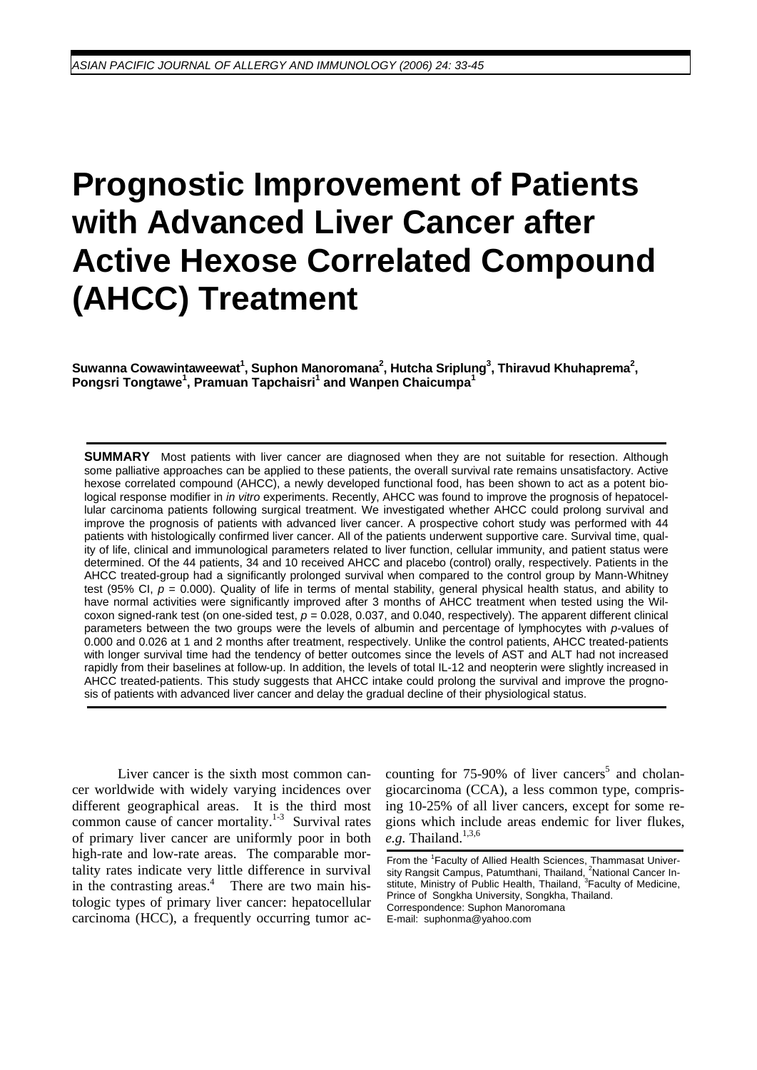# **Prognostic Improvement of Patients with Advanced Liver Cancer after Active Hexose Correlated Compound (AHCC) Treatment**

 $S$ uwanna Cowawintaweewat<sup>1</sup>, Suphon Manoromana<sup>2</sup>, Hutcha Sriplung<sup>3</sup>, Thiravud Khuhaprema<sup>2</sup>, **Pongsri Tongtawe<sup>1</sup> , Pramuan Tapchaisri1 and Wanpen Chaicumpa<sup>1</sup>**

**SUMMARY** Most patients with liver cancer are diagnosed when they are not suitable for resection. Although some palliative approaches can be applied to these patients, the overall survival rate remains unsatisfactory. Active hexose correlated compound (AHCC), a newly developed functional food, has been shown to act as a potent biological response modifier in *in vitro* experiments. Recently, AHCC was found to improve the prognosis of hepatocellular carcinoma patients following surgical treatment. We investigated whether AHCC could prolong survival and improve the prognosis of patients with advanced liver cancer. A prospective cohort study was performed with 44 patients with histologically confirmed liver cancer. All of the patients underwent supportive care. Survival time, quality of life, clinical and immunological parameters related to liver function, cellular immunity, and patient status were determined. Of the 44 patients, 34 and 10 received AHCC and placebo (control) orally, respectively. Patients in the AHCC treated-group had a significantly prolonged survival when compared to the control group by Mann-Whitney test (95% CI,  $p = 0.000$ ). Quality of life in terms of mental stability, general physical health status, and ability to have normal activities were significantly improved after 3 months of AHCC treatment when tested using the Wilcoxon signed-rank test (on one-sided test, *p* = 0.028, 0.037, and 0.040, respectively). The apparent different clinical parameters between the two groups were the levels of albumin and percentage of lymphocytes with *p*-values of 0.000 and 0.026 at 1 and 2 months after treatment, respectively. Unlike the control patients, AHCC treated-patients with longer survival time had the tendency of better outcomes since the levels of AST and ALT had not increased rapidly from their baselines at follow-up. In addition, the levels of total IL-12 and neopterin were slightly increased in AHCC treated-patients. This study suggests that AHCC intake could prolong the survival and improve the prognosis of patients with advanced liver cancer and delay the gradual decline of their physiological status.

Liver cancer is the sixth most common cancer worldwide with widely varying incidences over different geographical areas. It is the third most common cause of cancer mortality.<sup>1-3</sup> Survival rates of primary liver cancer are uniformly poor in both high-rate and low-rate areas. The comparable mortality rates indicate very little difference in survival in the contrasting areas. $4$  There are two main histologic types of primary liver cancer: hepatocellular carcinoma (HCC), a frequently occurring tumor ac-

counting for  $75-90\%$  of liver cancers<sup>5</sup> and cholangiocarcinoma (CCA), a less common type, comprising 10-25% of all liver cancers, except for some regions which include areas endemic for liver flukes,  $e.g.$  Thailand.<sup>1,3,6</sup>

From the <sup>1</sup> Faculty of Allied Health Sciences, Thammasat University Rangsit Campus, Patumthani, Thailand, <sup>2</sup>National Cancer In-<br>stitute, Ministry of Public Health, Thailand, <sup>3</sup>Faculty of Medicine, Prince of Songkha University, Songkha, Thailand. Correspondence: Suphon Manoromana E-mail: suphonma@yahoo.com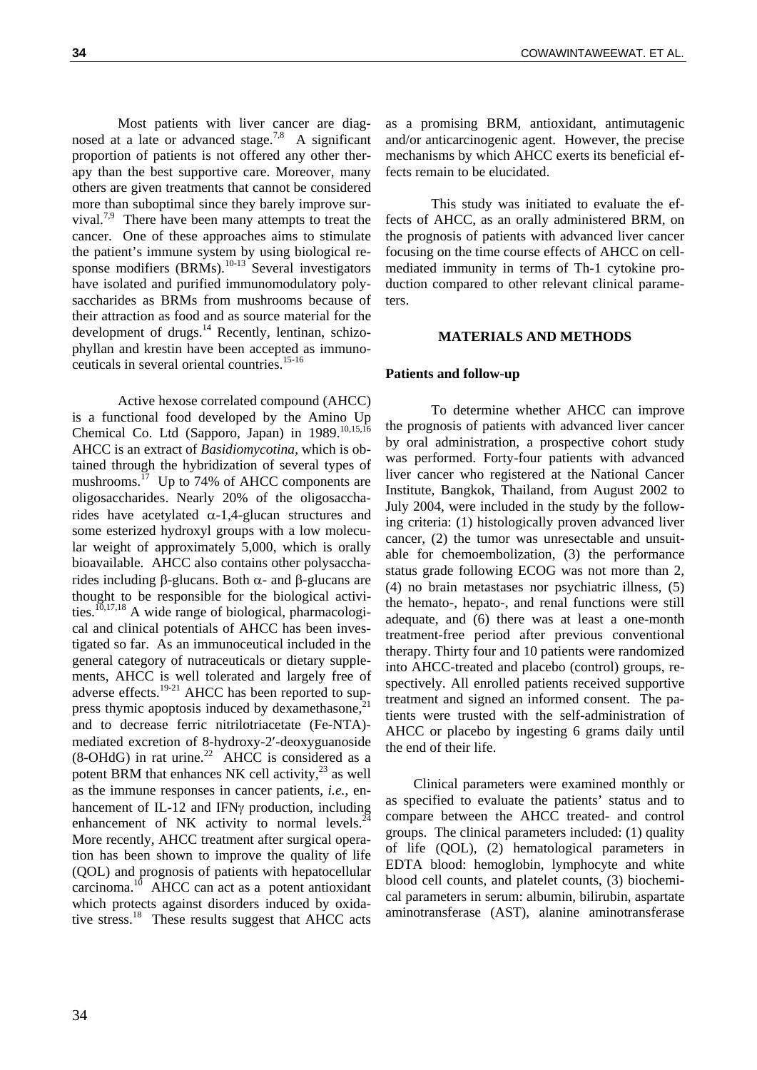Most patients with liver cancer are diagnosed at a late or advanced stage.<sup>7,8</sup> A significant proportion of patients is not offered any other therapy than the best supportive care. Moreover, many others are given treatments that cannot be considered more than suboptimal since they barely improve survival.7,9 There have been many attempts to treat the cancer. One of these approaches aims to stimulate the patient's immune system by using biological response modifiers  $(BR\tilde{M}s)$ .<sup>10-13</sup> Several investigators have isolated and purified immunomodulatory polysaccharides as BRMs from mushrooms because of their attraction as food and as source material for the development of drugs. $^{14}$  Recently, lentinan, schizophyllan and krestin have been accepted as immunoceuticals in several oriental countries.15-16

Active hexose correlated compound (AHCC) is a functional food developed by the Amino Up Chemical Co. Ltd (Sapporo, Japan) in 1989.<sup>10,15,16</sup> AHCC is an extract of *Basidiomycotina,* which is obtained through the hybridization of several types of mushrooms.<sup> $17$ </sup> Up to 74% of AHCC components are oligosaccharides. Nearly 20% of the oligosaccharides have acetylated  $\alpha$ -1,4-glucan structures and some esterized hydroxyl groups with a low molecular weight of approximately 5,000, which is orally bioavailable. AHCC also contains other polysaccharides including β-glucans. Both α- and β-glucans are thought to be responsible for the biological activities.<sup>10,17,18</sup> A wide range of biological, pharmacological and clinical potentials of AHCC has been investigated so far. As an immunoceutical included in the general category of nutraceuticals or dietary supplements, AHCC is well tolerated and largely free of adverse effects.<sup>19-21</sup> AHCC has been reported to suppress thymic apoptosis induced by dexamethasone, $\hat{i}$ and to decrease ferric nitrilotriacetate (Fe-NTA) mediated excretion of 8-hydroxy-2′-deoxyguanoside  $(8\text{-}OHdG)$  in rat urine.<sup>22</sup> AHCC is considered as a potent BRM that enhances NK cell activity, $^{23}$  as well as the immune responses in cancer patients, *i.e.*, enhancement of IL-12 and IFNγ production, including enhancement of NK activity to normal levels. $^{24}$ More recently, AHCC treatment after surgical operation has been shown to improve the quality of life (QOL) and prognosis of patients with hepatocellular carcinoma.10 AHCC can act as a potent antioxidant which protects against disorders induced by oxidative stress.<sup>18</sup> These results suggest that AHCC acts

as a promising BRM, antioxidant, antimutagenic and/or anticarcinogenic agent. However, the precise mechanisms by which AHCC exerts its beneficial effects remain to be elucidated.

This study was initiated to evaluate the effects of AHCC, as an orally administered BRM, on the prognosis of patients with advanced liver cancer focusing on the time course effects of AHCC on cellmediated immunity in terms of Th-1 cytokine production compared to other relevant clinical parameters.

#### **MATERIALS AND METHODS**

#### **Patients and follow-up**

To determine whether AHCC can improve the prognosis of patients with advanced liver cancer by oral administration, a prospective cohort study was performed. Forty-four patients with advanced liver cancer who registered at the National Cancer Institute, Bangkok, Thailand, from August 2002 to July 2004, were included in the study by the following criteria: (1) histologically proven advanced liver cancer, (2) the tumor was unresectable and unsuitable for chemoembolization, (3) the performance status grade following ECOG was not more than 2, (4) no brain metastases nor psychiatric illness, (5) the hemato-, hepato-, and renal functions were still adequate, and (6) there was at least a one-month treatment-free period after previous conventional therapy. Thirty four and 10 patients were randomized into AHCC-treated and placebo (control) groups, respectively. All enrolled patients received supportive treatment and signed an informed consent. The patients were trusted with the self-administration of AHCC or placebo by ingesting 6 grams daily until the end of their life.

 Clinical parameters were examined monthly or as specified to evaluate the patients' status and to compare between the AHCC treated- and control groups. The clinical parameters included: (1) quality of life (QOL), (2) hematological parameters in EDTA blood: hemoglobin, lymphocyte and white blood cell counts, and platelet counts, (3) biochemical parameters in serum: albumin, bilirubin, aspartate aminotransferase (AST), alanine aminotransferase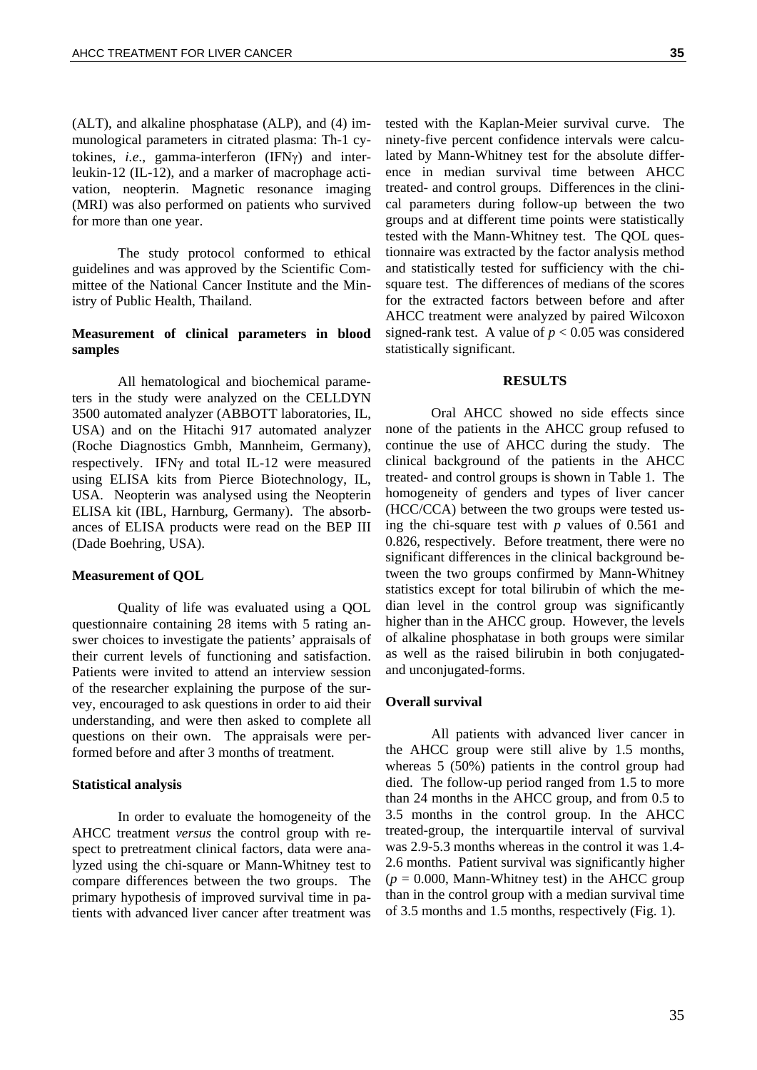(ALT), and alkaline phosphatase (ALP), and (4) immunological parameters in citrated plasma: Th-1 cytokines, *i.e*., gamma-interferon (IFNγ) and interleukin-12 (IL-12), and a marker of macrophage activation, neopterin. Magnetic resonance imaging (MRI) was also performed on patients who survived for more than one year.

 The study protocol conformed to ethical guidelines and was approved by the Scientific Committee of the National Cancer Institute and the Ministry of Public Health, Thailand.

## **Measurement of clinical parameters in blood samples**

All hematological and biochemical parameters in the study were analyzed on the CELLDYN 3500 automated analyzer (ABBOTT laboratories, IL, USA) and on the Hitachi 917 automated analyzer (Roche Diagnostics Gmbh, Mannheim, Germany), respectively. IFNγ and total IL-12 were measured using ELISA kits from Pierce Biotechnology, IL, USA. Neopterin was analysed using the Neopterin ELISA kit (IBL, Harnburg, Germany). The absorbances of ELISA products were read on the BEP III (Dade Boehring, USA).

#### **Measurement of QOL**

Quality of life was evaluated using a QOL questionnaire containing 28 items with 5 rating answer choices to investigate the patients' appraisals of their current levels of functioning and satisfaction. Patients were invited to attend an interview session of the researcher explaining the purpose of the survey, encouraged to ask questions in order to aid their understanding, and were then asked to complete all questions on their own. The appraisals were performed before and after 3 months of treatment.

#### **Statistical analysis**

In order to evaluate the homogeneity of the AHCC treatment *versus* the control group with respect to pretreatment clinical factors, data were analyzed using the chi-square or Mann-Whitney test to compare differences between the two groups. The primary hypothesis of improved survival time in patients with advanced liver cancer after treatment was

tested with the Kaplan-Meier survival curve. The ninety-five percent confidence intervals were calculated by Mann-Whitney test for the absolute difference in median survival time between AHCC treated- and control groups. Differences in the clinical parameters during follow-up between the two groups and at different time points were statistically tested with the Mann-Whitney test. The QOL questionnaire was extracted by the factor analysis method and statistically tested for sufficiency with the chisquare test. The differences of medians of the scores for the extracted factors between before and after AHCC treatment were analyzed by paired Wilcoxon signed-rank test. A value of  $p < 0.05$  was considered statistically significant.

#### **RESULTS**

Oral AHCC showed no side effects since none of the patients in the AHCC group refused to continue the use of AHCC during the study. The clinical background of the patients in the AHCC treated- and control groups is shown in Table 1. The homogeneity of genders and types of liver cancer (HCC/CCA) between the two groups were tested using the chi-square test with *p* values of 0.561 and 0.826, respectively. Before treatment, there were no significant differences in the clinical background between the two groups confirmed by Mann-Whitney statistics except for total bilirubin of which the median level in the control group was significantly higher than in the AHCC group. However, the levels of alkaline phosphatase in both groups were similar as well as the raised bilirubin in both conjugatedand unconjugated-forms.

#### **Overall survival**

All patients with advanced liver cancer in the AHCC group were still alive by 1.5 months, whereas 5 (50%) patients in the control group had died. The follow-up period ranged from 1.5 to more than 24 months in the AHCC group, and from 0.5 to 3.5 months in the control group. In the AHCC treated-group, the interquartile interval of survival was 2.9-5.3 months whereas in the control it was 1.4- 2.6 months. Patient survival was significantly higher  $(p = 0.000,$  Mann-Whitney test) in the AHCC group than in the control group with a median survival time of 3.5 months and 1.5 months, respectively (Fig. 1).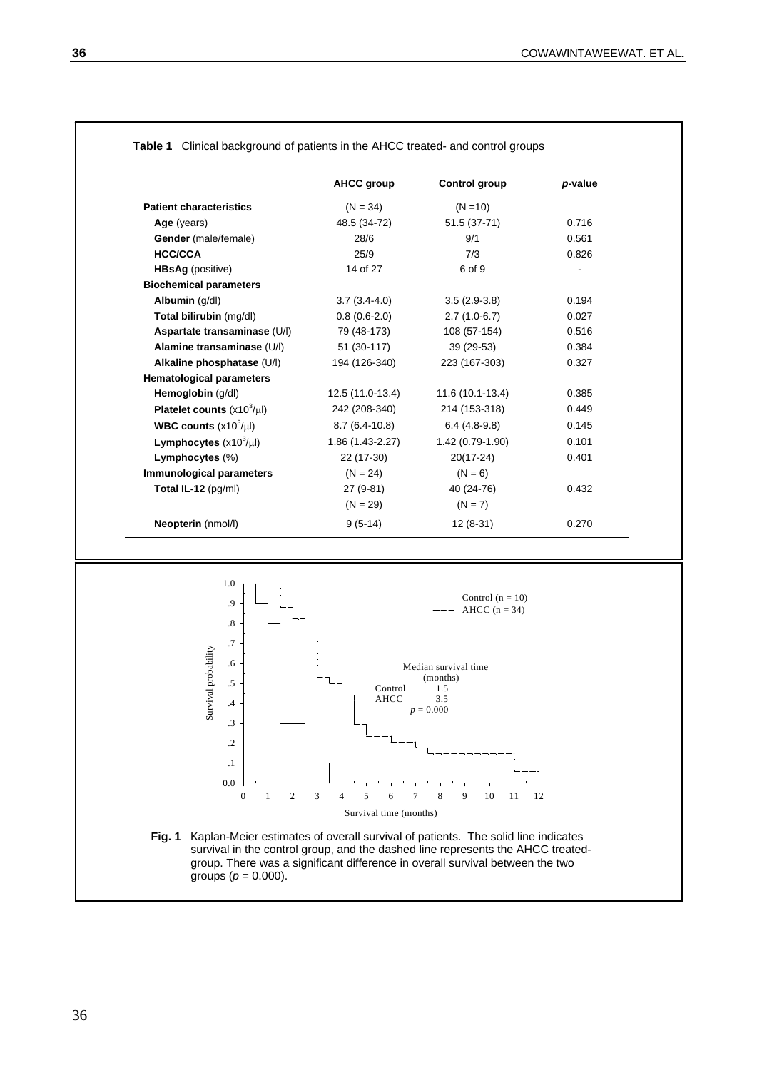|                                   | <b>AHCC group</b> | <b>Control group</b> | p-value |
|-----------------------------------|-------------------|----------------------|---------|
| <b>Patient characteristics</b>    | $(N = 34)$        | $(N = 10)$           |         |
| Age (years)                       | 48.5 (34-72)      | 51.5 (37-71)         | 0.716   |
| Gender (male/female)              | 28/6              | 9/1                  | 0.561   |
| <b>HCC/CCA</b>                    | 25/9              | 7/3                  | 0.826   |
| <b>HBsAg</b> (positive)           | 14 of 27          | 6 of 9               |         |
| <b>Biochemical parameters</b>     |                   |                      |         |
| Albumin (g/dl)                    | $3.7(3.4-4.0)$    | $3.5(2.9-3.8)$       | 0.194   |
| Total bilirubin (mg/dl)           | $0.8(0.6-2.0)$    | $2.7(1.0-6.7)$       | 0.027   |
| Aspartate transaminase (U/I)      | 79 (48-173)       | 108 (57-154)         | 0.516   |
| Alamine transaminase (U/I)        | 51 (30-117)       | 39 (29-53)           | 0.384   |
| Alkaline phosphatase (U/I)        | 194 (126-340)     | 223 (167-303)        | 0.327   |
| <b>Hematological parameters</b>   |                   |                      |         |
| Hemoglobin (g/dl)                 | 12.5 (11.0-13.4)  | $11.6(10.1-13.4)$    | 0.385   |
| Platelet counts $(x10^3/\mu l)$   | 242 (208-340)     | 214 (153-318)        | 0.449   |
| <b>WBC counts</b> $(x10^3/\mu l)$ | $8.7(6.4-10.8)$   | $6.4(4.8-9.8)$       | 0.145   |
| Lymphocytes $(x10^3/\mu l)$       | $1.86(1.43-2.27)$ | $1.42(0.79-1.90)$    | 0.101   |
| Lymphocytes (%)                   | 22 (17-30)        | $20(17-24)$          | 0.401   |
| Immunological parameters          | $(N = 24)$        | $(N = 6)$            |         |
| Total IL-12 (pg/ml)               | 27 (9-81)         | 40 (24-76)           | 0.432   |
|                                   | $(N = 29)$        | $(N = 7)$            |         |
| <b>Neopterin</b> (nmol/l)         | $9(5-14)$         | $12(8-31)$           | 0.270   |

#### **Table 1** Clinical background of patients in the AHCC treated- and control groups



**Fig. 1** Kaplan-Meier estimates of overall survival of patients. The solid line indicates survival in the control group, and the dashed line represents the AHCC treatedgroup. There was a significant difference in overall survival between the two groups ( $p = 0.000$ ).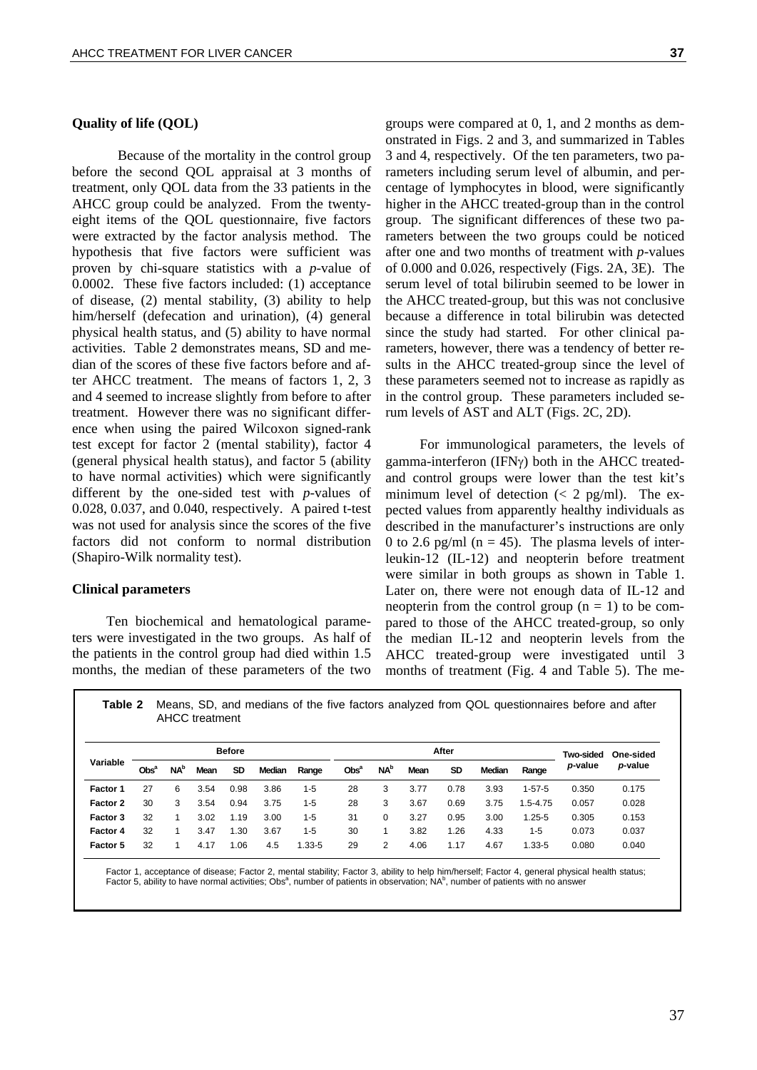# **Quality of life (QOL)**

Because of the mortality in the control group before the second QOL appraisal at 3 months of treatment, only QOL data from the 33 patients in the AHCC group could be analyzed. From the twentyeight items of the QOL questionnaire, five factors were extracted by the factor analysis method. The hypothesis that five factors were sufficient was proven by chi-square statistics with a *p*-value of 0.0002. These five factors included: (1) acceptance of disease, (2) mental stability, (3) ability to help him/herself (defecation and urination), (4) general physical health status, and (5) ability to have normal activities. Table 2 demonstrates means, SD and median of the scores of these five factors before and after AHCC treatment. The means of factors 1, 2, 3 and 4 seemed to increase slightly from before to after treatment. However there was no significant difference when using the paired Wilcoxon signed-rank test except for factor 2 (mental stability), factor 4 (general physical health status), and factor 5 (ability to have normal activities) which were significantly different by the one-sided test with *p*-values of 0.028, 0.037, and 0.040, respectively. A paired t-test was not used for analysis since the scores of the five factors did not conform to normal distribution (Shapiro-Wilk normality test).

#### **Clinical parameters**

Ten biochemical and hematological parameters were investigated in the two groups. As half of the patients in the control group had died within 1.5 months, the median of these parameters of the two

groups were compared at 0, 1, and 2 months as demonstrated in Figs. 2 and 3, and summarized in Tables 3 and 4, respectively. Of the ten parameters, two parameters including serum level of albumin, and percentage of lymphocytes in blood, were significantly higher in the AHCC treated-group than in the control group. The significant differences of these two parameters between the two groups could be noticed after one and two months of treatment with *p*-values of 0.000 and 0.026, respectively (Figs. 2A, 3E). The serum level of total bilirubin seemed to be lower in the AHCC treated-group, but this was not conclusive because a difference in total bilirubin was detected since the study had started. For other clinical parameters, however, there was a tendency of better results in the AHCC treated-group since the level of these parameters seemed not to increase as rapidly as in the control group. These parameters included serum levels of AST and ALT (Figs. 2C, 2D).

For immunological parameters, the levels of gamma-interferon (IFNγ) both in the AHCC treatedand control groups were lower than the test kit's minimum level of detection  $\langle \langle 2 \rangle$  pg/ml). The expected values from apparently healthy individuals as described in the manufacturer's instructions are only 0 to 2.6 pg/ml ( $n = 45$ ). The plasma levels of interleukin-12 (IL-12) and neopterin before treatment were similar in both groups as shown in Table 1. Later on, there were not enough data of IL-12 and neopterin from the control group  $(n = 1)$  to be compared to those of the AHCC treated-group, so only the median IL-12 and neopterin levels from the AHCC treated-group were investigated until 3 months of treatment (Fig. 4 and Table 5). The me-

**Table 2** Means, SD, and medians of the five factors analyzed from QOL questionnaires before and after AHCC treatment

|          |                  |                        |      | <b>Before</b> |               |            |                  |                        |      | After     |        |              | Two-sided | One-sided |
|----------|------------------|------------------------|------|---------------|---------------|------------|------------------|------------------------|------|-----------|--------|--------------|-----------|-----------|
| Variable | Obs <sup>a</sup> | <b>NA</b> <sup>b</sup> | Mean | SD            | <b>Median</b> | Range      | Obs <sup>a</sup> | <b>NA</b> <sup>b</sup> | Mean | <b>SD</b> | Median | Range        | p-value   | p-value   |
| Factor 1 | 27               | 6                      | 3.54 | 0.98          | 3.86          | 1-5        | 28               | 3                      | 3.77 | 0.78      | 3.93   | $1 - 57 - 5$ | 0.350     | 0.175     |
| Factor 2 | 30               | 3                      | 3.54 | 0.94          | 3.75          | 1-5        | 28               | 3                      | 3.67 | 0.69      | 3.75   | $1.5 - 4.75$ | 0.057     | 0.028     |
| Factor 3 | 32               |                        | 3.02 | 1.19          | 3.00          | 1-5        | 31               | 0                      | 3.27 | 0.95      | 3.00   | $1.25 - 5$   | 0.305     | 0.153     |
| Factor 4 | 32               |                        | 3.47 | 1.30          | 3.67          | 1-5        | 30               |                        | 3.82 | 1.26      | 4.33   | $1 - 5$      | 0.073     | 0.037     |
| Factor 5 | 32               |                        | 4.17 | 1.06          | 4.5           | $1.33 - 5$ | 29               | 2                      | 4.06 | 1.17      | 4.67   | 1.33-5       | 0.080     | 0.040     |

Factor 1, acceptance of disease; Factor 2, mental stability; Factor 3, ability to help him/herself; Factor 4, general physical health status; Factor 5, ability to have normal activities; Obs<sup>a</sup>, number of patients in observation; NA<sup>b</sup>, number of patients with no answer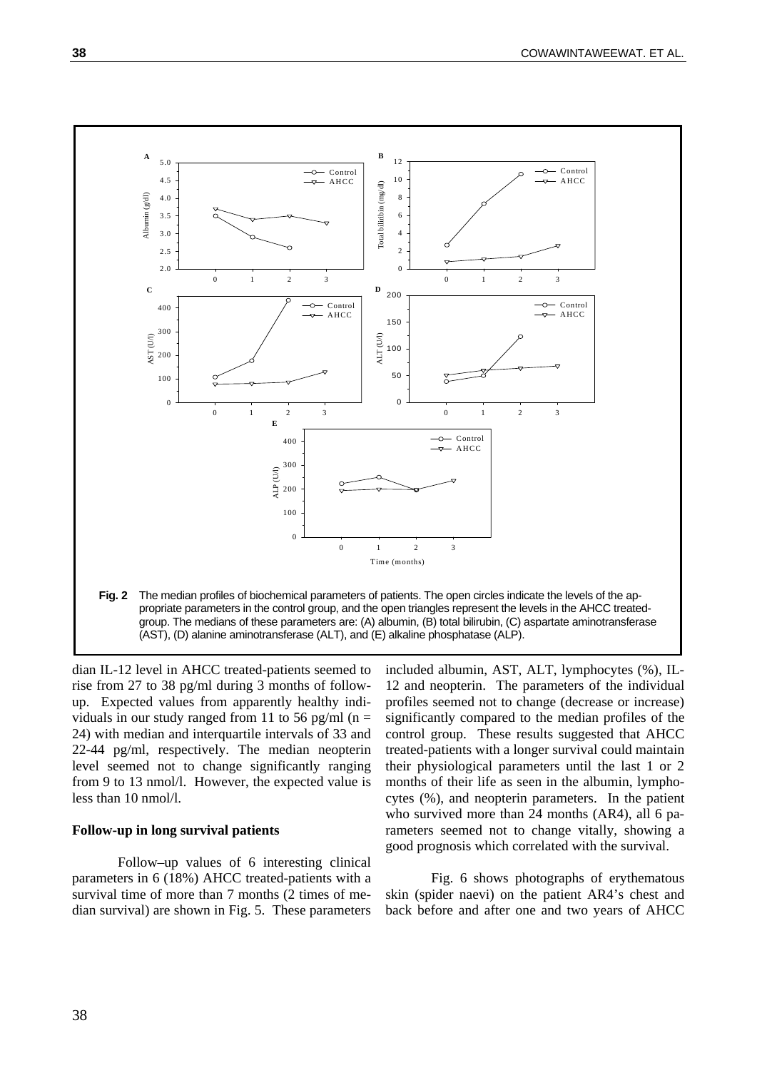

dian IL-12 level in AHCC treated-patients seemed to rise from 27 to 38 pg/ml during 3 months of followup. Expected values from apparently healthy individuals in our study ranged from 11 to 56 pg/ml ( $n =$ 24) with median and interquartile intervals of 33 and 22-44 pg/ml, respectively. The median neopterin level seemed not to change significantly ranging from 9 to 13 nmol/l. However, the expected value is less than 10 nmol/l.

## **Follow-up in long survival patients**

 Follow–up values of 6 interesting clinical parameters in 6 (18%) AHCC treated-patients with a survival time of more than 7 months (2 times of median survival) are shown in Fig. 5. These parameters included albumin, AST, ALT, lymphocytes (%), IL-12 and neopterin. The parameters of the individual profiles seemed not to change (decrease or increase) significantly compared to the median profiles of the control group. These results suggested that AHCC treated-patients with a longer survival could maintain their physiological parameters until the last 1 or 2 months of their life as seen in the albumin, lymphocytes (%), and neopterin parameters. In the patient who survived more than 24 months (AR4), all 6 parameters seemed not to change vitally, showing a good prognosis which correlated with the survival.

Fig. 6 shows photographs of erythematous skin (spider naevi) on the patient AR4's chest and back before and after one and two years of AHCC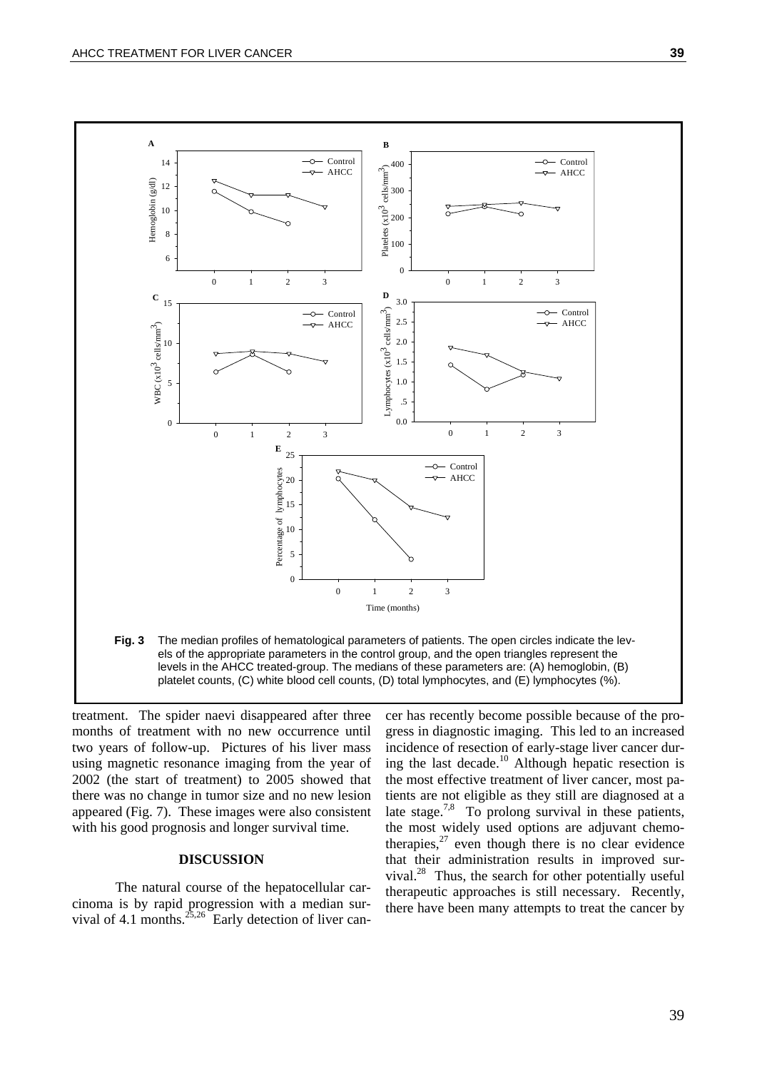

treatment. The spider naevi disappeared after three months of treatment with no new occurrence until two years of follow-up. Pictures of his liver mass using magnetic resonance imaging from the year of 2002 (the start of treatment) to 2005 showed that there was no change in tumor size and no new lesion appeared (Fig. 7). These images were also consistent with his good prognosis and longer survival time.

#### **DISCUSSION**

The natural course of the hepatocellular carcinoma is by rapid progression with a median survival of 4.1 months. $^{25,26}$  Early detection of liver can-

cer has recently become possible because of the progress in diagnostic imaging. This led to an increased incidence of resection of early-stage liver cancer during the last decade.<sup>10</sup> Although hepatic resection is the most effective treatment of liver cancer, most patients are not eligible as they still are diagnosed at a late stage.<sup>7,8</sup> To prolong survival in these patients, the most widely used options are adjuvant chemotherapies, $27$  even though there is no clear evidence that their administration results in improved survival. $^{28}$  Thus, the search for other potentially useful therapeutic approaches is still necessary. Recently, there have been many attempts to treat the cancer by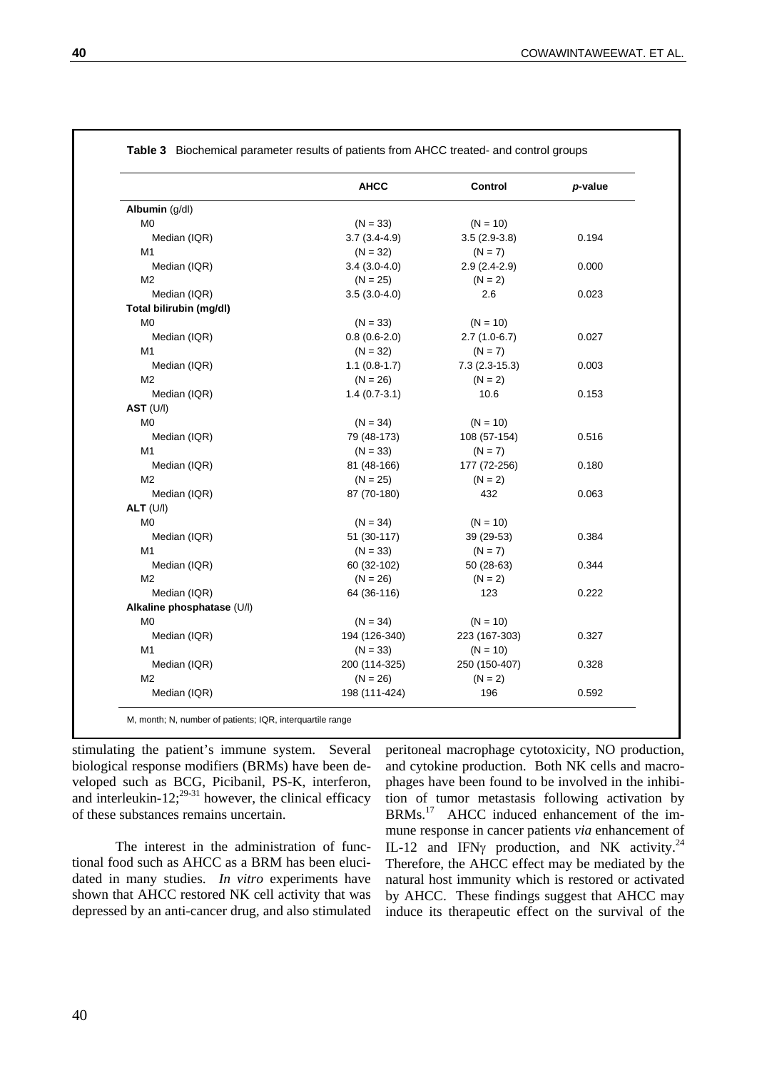|                            | <b>AHCC</b>    | Control         | p-value |
|----------------------------|----------------|-----------------|---------|
| Albumin (g/dl)             |                |                 |         |
| M <sub>0</sub>             | $(N = 33)$     | $(N = 10)$      |         |
| Median (IQR)               | $3.7(3.4-4.9)$ | $3.5(2.9-3.8)$  | 0.194   |
| M1                         | $(N = 32)$     | $(N = 7)$       |         |
| Median (IQR)               | $3.4(3.0-4.0)$ | $2.9(2.4-2.9)$  | 0.000   |
| M2                         | $(N = 25)$     | $(N = 2)$       |         |
| Median (IQR)               | $3.5(3.0-4.0)$ | 2.6             | 0.023   |
| Total bilirubin (mg/dl)    |                |                 |         |
| M <sub>0</sub>             | $(N = 33)$     | $(N = 10)$      |         |
| Median (IQR)               | $0.8(0.6-2.0)$ | $2.7(1.0-6.7)$  | 0.027   |
| M1                         | $(N = 32)$     | $(N = 7)$       |         |
| Median (IQR)               | $1.1(0.8-1.7)$ | $7.3(2.3-15.3)$ | 0.003   |
| M <sub>2</sub>             | $(N = 26)$     | $(N = 2)$       |         |
| Median (IQR)               | $1.4(0.7-3.1)$ | 10.6            | 0.153   |
| AST (U/I)                  |                |                 |         |
| M <sub>0</sub>             | $(N = 34)$     | $(N = 10)$      |         |
| Median (IQR)               | 79 (48-173)    | 108 (57-154)    | 0.516   |
| M1                         | $(N = 33)$     | $(N = 7)$       |         |
| Median (IQR)               | 81 (48-166)    | 177 (72-256)    | 0.180   |
| M <sub>2</sub>             | $(N = 25)$     | $(N = 2)$       |         |
| Median (IQR)               | 87 (70-180)    | 432             | 0.063   |
| $ALT$ (U/I)                |                |                 |         |
| M <sub>0</sub>             | $(N = 34)$     | $(N = 10)$      |         |
| Median (IQR)               | 51 (30-117)    | 39 (29-53)      | 0.384   |
| M <sub>1</sub>             | $(N = 33)$     | $(N = 7)$       |         |
| Median (IQR)               | 60 (32-102)    | 50 (28-63)      | 0.344   |
| M <sub>2</sub>             | $(N = 26)$     | $(N = 2)$       |         |
| Median (IQR)               | 64 (36-116)    | 123             | 0.222   |
| Alkaline phosphatase (U/l) |                |                 |         |
| M <sub>0</sub>             | $(N = 34)$     | $(N = 10)$      |         |
| Median (IQR)               | 194 (126-340)  | 223 (167-303)   | 0.327   |
| M <sub>1</sub>             | $(N = 33)$     | $(N = 10)$      |         |
| Median (IQR)               | 200 (114-325)  | 250 (150-407)   | 0.328   |
| M <sub>2</sub>             | $(N = 26)$     | $(N = 2)$       |         |
| Median (IQR)               | 198 (111-424)  | 196             | 0.592   |

M, month; N, number of patients; IQR, interquartile range

stimulating the patient's immune system. Several biological response modifiers (BRMs) have been developed such as BCG, Picibanil, PS-K, interferon, and interleukin-12;<sup>29-31</sup> however, the clinical efficacy of these substances remains uncertain.

The interest in the administration of functional food such as AHCC as a BRM has been elucidated in many studies. *In vitro* experiments have shown that AHCC restored NK cell activity that was depressed by an anti-cancer drug, and also stimulated peritoneal macrophage cytotoxicity, NO production, and cytokine production. Both NK cells and macrophages have been found to be involved in the inhibition of tumor metastasis following activation by BRMs.17 AHCC induced enhancement of the immune response in cancer patients *via* enhancement of IL-12 and IFN $\gamma$  production, and NK activity.<sup>24</sup> Therefore, the AHCC effect may be mediated by the natural host immunity which is restored or activated by AHCC. These findings suggest that AHCC may induce its therapeutic effect on the survival of the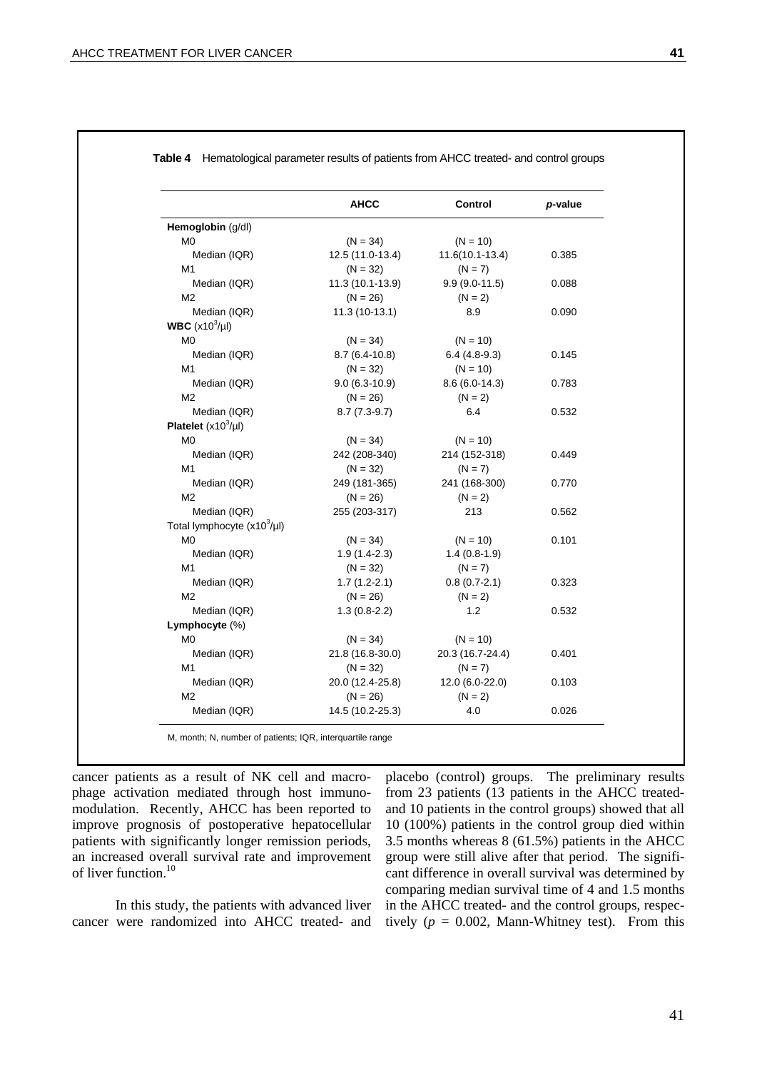|                                  | <b>AHCC</b>      | Control           | p-value |
|----------------------------------|------------------|-------------------|---------|
| Hemoglobin (g/dl)                |                  |                   |         |
| M0                               | $(N = 34)$       | $(N = 10)$        |         |
| Median (IQR)                     | 12.5 (11.0-13.4) | $11.6(10.1-13.4)$ | 0.385   |
| M1                               | $(N = 32)$       | $(N = 7)$         |         |
| Median (IQR)                     | 11.3 (10.1-13.9) | $9.9(9.0-11.5)$   | 0.088   |
| M <sub>2</sub>                   | $(N = 26)$       | $(N = 2)$         |         |
| Median (IQR)                     | 11.3 (10-13.1)   | 8.9               | 0.090   |
| WBC $(x10^3/\mu l)$              |                  |                   |         |
| M0                               | $(N = 34)$       | $(N = 10)$        |         |
| Median (IQR)                     | $8.7(6.4-10.8)$  | $6.4(4.8-9.3)$    | 0.145   |
| M1                               | $(N = 32)$       | $(N = 10)$        |         |
| Median (IQR)                     | $9.0(6.3-10.9)$  | $8.6(6.0-14.3)$   | 0.783   |
| M <sub>2</sub>                   | $(N = 26)$       | $(N = 2)$         |         |
| Median (IQR)                     | $8.7(7.3-9.7)$   | 6.4               | 0.532   |
| Platelet $(x10^3/\mu l)$         |                  |                   |         |
| M0                               | $(N = 34)$       | $(N = 10)$        |         |
| Median (IQR)                     | 242 (208-340)    | 214 (152-318)     | 0.449   |
| M1                               | $(N = 32)$       | $(N = 7)$         |         |
| Median (IQR)                     | 249 (181-365)    | 241 (168-300)     | 0.770   |
| M2                               | $(N = 26)$       | $(N = 2)$         |         |
| Median (IQR)                     | 255 (203-317)    | 213               | 0.562   |
| Total lymphocyte $(x10^3/\mu l)$ |                  |                   |         |
| M <sub>0</sub>                   | $(N = 34)$       | $(N = 10)$        | 0.101   |
| Median (IQR)                     | $1.9(1.4-2.3)$   | $1.4(0.8-1.9)$    |         |
| M1                               | $(N = 32)$       | $(N = 7)$         |         |
| Median (IQR)                     | $1.7(1.2-2.1)$   | $0.8(0.7 - 2.1)$  | 0.323   |
| M <sub>2</sub>                   | $(N = 26)$       | $(N = 2)$         |         |
| Median (IQR)                     | $1.3(0.8-2.2)$   | 1.2               | 0.532   |
| Lymphocyte (%)                   |                  |                   |         |
| M <sub>0</sub>                   | $(N = 34)$       | $(N = 10)$        |         |
| Median (IQR)                     | 21.8 (16.8-30.0) | 20.3 (16.7-24.4)  | 0.401   |
| M1                               | $(N = 32)$       | $(N = 7)$         |         |
| Median (IQR)                     | 20.0 (12.4-25.8) | 12.0 (6.0-22.0)   | 0.103   |
| M <sub>2</sub>                   | $(N = 26)$       | $(N = 2)$         |         |
| Median (IQR)                     | 14.5 (10.2-25.3) | 4.0               | 0.026   |

**Table 4** Hematological parameter results of patients from AHCC treated- and control groups

M, month; N, number of patients; IQR, interquartile range

cancer patients as a result of NK cell and macrophage activation mediated through host immunomodulation. Recently, AHCC has been reported to improve prognosis of postoperative hepatocellular patients with significantly longer remission periods, an increased overall survival rate and improvement of liver function.10

In this study, the patients with advanced liver cancer were randomized into AHCC treated- and placebo (control) groups. The preliminary results from 23 patients (13 patients in the AHCC treatedand 10 patients in the control groups) showed that all 10 (100%) patients in the control group died within 3.5 months whereas 8 (61.5%) patients in the AHCC group were still alive after that period. The significant difference in overall survival was determined by comparing median survival time of 4 and 1.5 months in the AHCC treated- and the control groups, respectively  $(p = 0.002,$  Mann-Whitney test). From this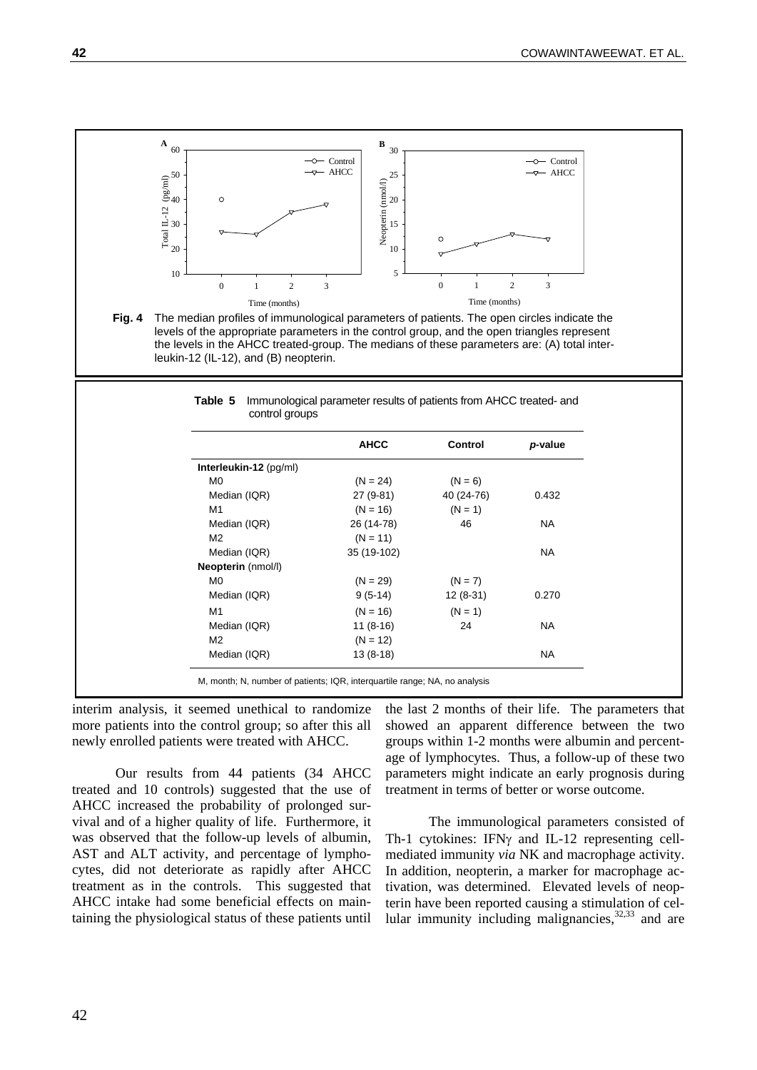

interim analysis, it seemed unethical to randomize more patients into the control group; so after this all newly enrolled patients were treated with AHCC.

Our results from 44 patients (34 AHCC treated and 10 controls) suggested that the use of AHCC increased the probability of prolonged survival and of a higher quality of life. Furthermore, it was observed that the follow-up levels of albumin, AST and ALT activity, and percentage of lymphocytes, did not deteriorate as rapidly after AHCC treatment as in the controls. This suggested that AHCC intake had some beneficial effects on maintaining the physiological status of these patients until

the last 2 months of their life. The parameters that showed an apparent difference between the two groups within 1-2 months were albumin and percentage of lymphocytes. Thus, a follow-up of these two parameters might indicate an early prognosis during treatment in terms of better or worse outcome.

The immunological parameters consisted of Th-1 cytokines: IFNγ and IL-12 representing cellmediated immunity *via* NK and macrophage activity. In addition, neopterin, a marker for macrophage activation, was determined. Elevated levels of neopterin have been reported causing a stimulation of cellular immunity including malignancies, $32,33$  and are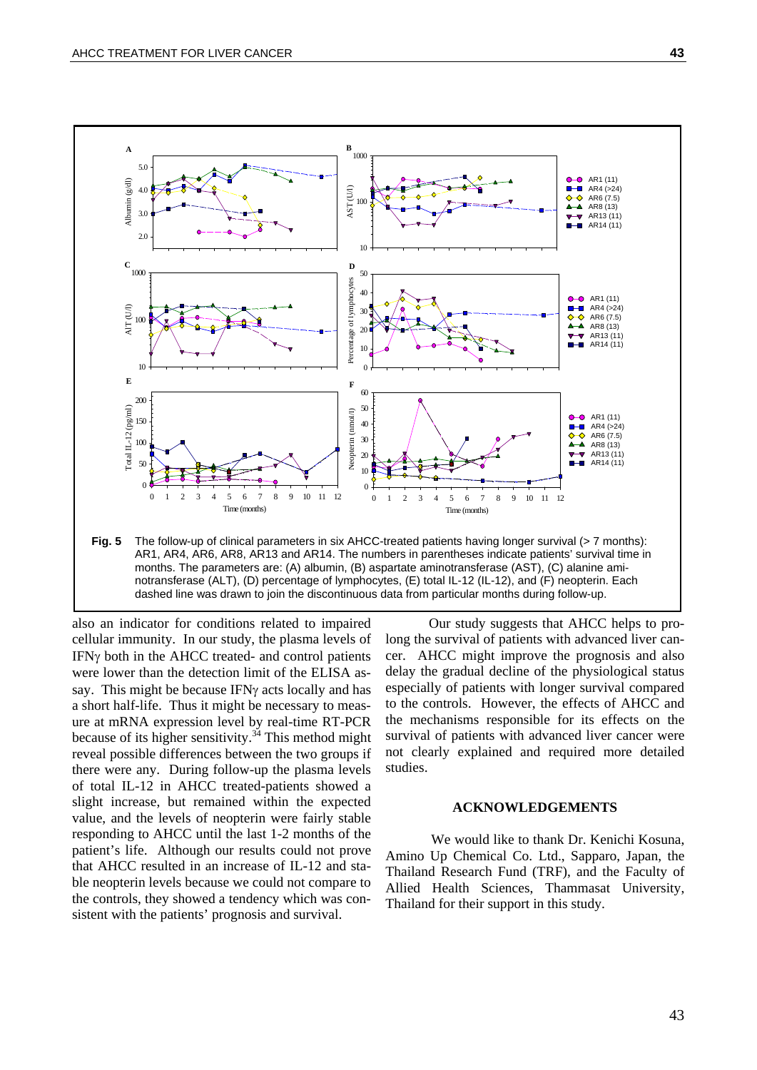

notransferase (ALT), (D) percentage of lymphocytes, (E) total IL-12 (IL-12), and (F) neopterin. Each dashed line was drawn to join the discontinuous data from particular months during follow-up.

also an indicator for conditions related to impaired cellular immunity. In our study, the plasma levels of IFNγ both in the AHCC treated- and control patients were lower than the detection limit of the ELISA assay. This might be because IFNγ acts locally and has a short half-life. Thus it might be necessary to measure at mRNA expression level by real-time RT-PCR because of its higher sensitivity.<sup>34</sup> This method might reveal possible differences between the two groups if there were any. During follow-up the plasma levels of total IL-12 in AHCC treated-patients showed a slight increase, but remained within the expected value, and the levels of neopterin were fairly stable responding to AHCC until the last 1-2 months of the patient's life. Although our results could not prove that AHCC resulted in an increase of IL-12 and stable neopterin levels because we could not compare to the controls, they showed a tendency which was consistent with the patients' prognosis and survival.

Our study suggests that AHCC helps to prolong the survival of patients with advanced liver cancer. AHCC might improve the prognosis and also delay the gradual decline of the physiological status especially of patients with longer survival compared to the controls. However, the effects of AHCC and the mechanisms responsible for its effects on the survival of patients with advanced liver cancer were not clearly explained and required more detailed studies.

#### **ACKNOWLEDGEMENTS**

We would like to thank Dr. Kenichi Kosuna, Amino Up Chemical Co. Ltd., Sapparo, Japan, the Thailand Research Fund (TRF), and the Faculty of Allied Health Sciences, Thammasat University, Thailand for their support in this study.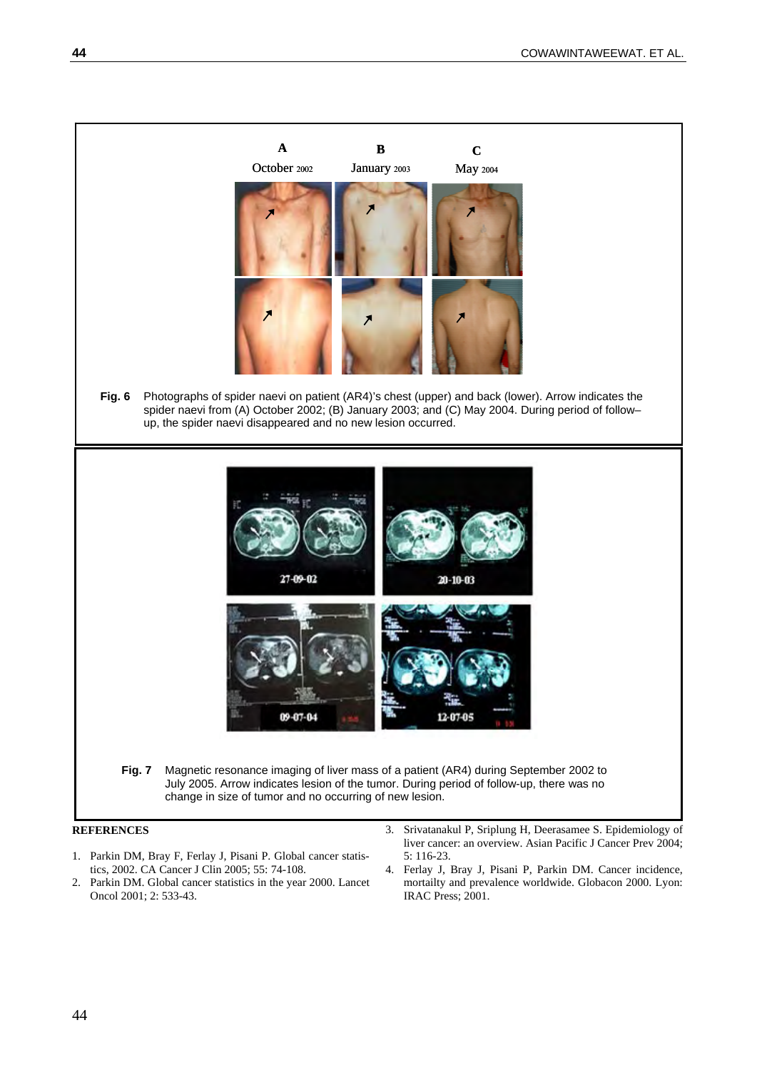

- 1. Parkin DM, Bray F, Ferlay J, Pisani P. Global cancer statistics, 2002. CA Cancer J Clin 2005; 55: 74-108.
- 2. Parkin DM. Global cancer statistics in the year 2000. Lancet Oncol 2001; 2: 533-43.
- liver cancer: an overview. Asian Pacific J Cancer Prev 2004; 5: 116-23. 4. Ferlay J, Bray J, Pisani P, Parkin DM. Cancer incidence,
- mortailty and prevalence worldwide. Globacon 2000. Lyon: IRAC Press; 2001.